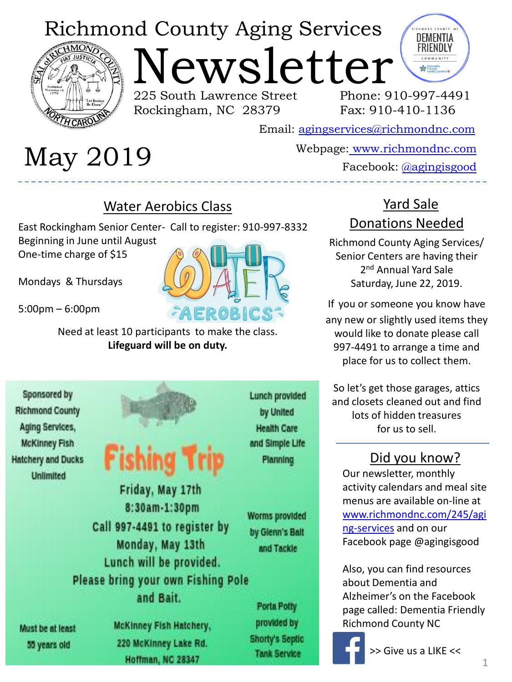## Richmond County Aging Services



Newsletter



225 South Lawrence Street Rockingham, NC 28379

**FAEROBICS** 

Phone: 910-997-4491 Fax: 910-410-1136

Email: [agingservices@richmondnc.com](mailto:agingservices@richmondnc.com)

# Webpage: [www.richmondnc.com](http://www.richmondnc.com/) May 2019 Facebook: [@agingisgood](https://www.facebook.com/agingisgood/)

#### Water Aerobics Class

East Rockingham Senior Center- Call to register: 910-997-8332

Beginning in June until August One-time charge of \$15

Mondays & Thursdays

5:00pm – 6:00pm

Need at least 10 participants to make the class. **Lifeguard will be on duty.**

Sponsored by **Richmond County** Aging Services, **McKinney Fish Hatchery and Ducks Unlimited** 



Friday, May 17th 8:30am-1:30pm Call 997-4491 to register by Monday, May 13th Lunch will be provided. Please bring your own Fishing Pole and Bait.

Planning Worms provided

Lunch provided

by United

**Health Care** and Simple Life

by Glenn's Balt and Tackle

Porta Potty provided by **Shorty's Septic Tank Service** 

#### Yard Sale Donations Needed

Richmond County Aging Services/ Senior Centers are having their 2<sup>nd</sup> Annual Yard Sale Saturday, June 22, 2019.

If you or someone you know have any new or slightly used items they would like to donate please call 997-4491 to arrange a time and place for us to collect them.

So let's get those garages, attics and closets cleaned out and find lots of hidden treasures for us to sell.

#### Did you know?

Our newsletter, monthly activity calendars and meal site menus are available on-line at [www.richmondnc.com/245/agi](http://www.richmondnc.com/245/aging-services) [ng-services](http://www.richmondnc.com/245/aging-services) and on our Facebook page @agingisgood

Also, you can find resources about Dementia and Alzheimer's on the Facebook page called: Dementia Friendly Richmond County NC



1

McKinney Fish Hatchery, 220 McKinney Lake Rd. Hoffman, NC 28347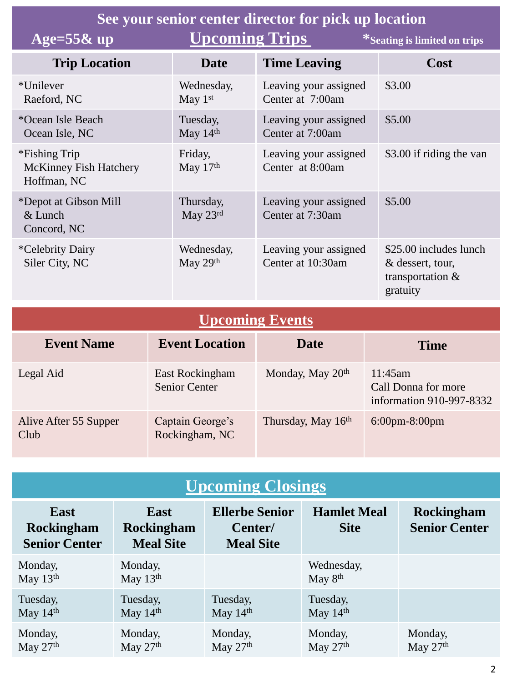| See your senior center director for pick up location<br><b>Upcoming Trips</b><br>Age= $55\&$ up<br>*Seating is limited on trips |                          |                                            |                                                                               |  |  |  |
|---------------------------------------------------------------------------------------------------------------------------------|--------------------------|--------------------------------------------|-------------------------------------------------------------------------------|--|--|--|
| <b>Trip Location</b>                                                                                                            | <b>Date</b>              | <b>Time Leaving</b>                        | Cost                                                                          |  |  |  |
| *Unilever<br>Raeford, NC                                                                                                        | Wednesday,<br>May 1st    | Leaving your assigned<br>Center at 7:00am  | \$3.00                                                                        |  |  |  |
| *Ocean Isle Beach<br>Ocean Isle, NC                                                                                             | Tuesday,<br>May $14th$   | Leaving your assigned<br>Center at 7:00am  | \$5.00                                                                        |  |  |  |
| *Fishing Trip<br><b>McKinney Fish Hatchery</b><br>Hoffman, NC                                                                   | Friday,<br>May $17th$    | Leaving your assigned<br>Center at 8:00am  | \$3.00 if riding the van                                                      |  |  |  |
| *Depot at Gibson Mill<br>$&$ Lunch<br>Concord, NC                                                                               | Thursday,<br>May 23rd    | Leaving your assigned<br>Center at 7:30am  | \$5.00                                                                        |  |  |  |
| *Celebrity Dairy<br>Siler City, NC                                                                                              | Wednesday,<br>May $29th$ | Leaving your assigned<br>Center at 10:30am | \$25.00 includes lunch<br>& dessert, tour,<br>transportation $\&$<br>gratuity |  |  |  |

### **Upcoming Events**

| <b>Event Name</b>             | <b>Event Location</b>                   | <b>Date</b>                  | <b>Time</b>                                                |
|-------------------------------|-----------------------------------------|------------------------------|------------------------------------------------------------|
| Legal Aid                     | East Rockingham<br><b>Senior Center</b> | Monday, May 20 <sup>th</sup> | 11:45am<br>Call Donna for more<br>information 910-997-8332 |
| Alive After 55 Supper<br>Club | Captain George's<br>Rockingham, NC      | Thursday, May 16th           | $6:00 \text{pm} - 8:00 \text{pm}$                          |

| <b>Upcoming Closings</b>                          |                                                      |                                                      |                                   |                                           |  |  |  |  |
|---------------------------------------------------|------------------------------------------------------|------------------------------------------------------|-----------------------------------|-------------------------------------------|--|--|--|--|
| <b>East</b><br>Rockingham<br><b>Senior Center</b> | <b>East</b><br><b>Rockingham</b><br><b>Meal Site</b> | <b>Ellerbe Senior</b><br>Center/<br><b>Meal Site</b> | <b>Hamlet Meal</b><br><b>Site</b> | <b>Rockingham</b><br><b>Senior Center</b> |  |  |  |  |
| Monday,<br>May $13th$                             | Monday,<br>May $13th$                                |                                                      | Wednesday,<br>May 8 <sup>th</sup> |                                           |  |  |  |  |
| Tuesday,<br>May $14th$                            | Tuesday,<br>May $14th$                               | Tuesday,<br>May $14th$                               | Tuesday,<br>May $14th$            |                                           |  |  |  |  |
| Monday,<br>May $27th$                             | Monday,<br>May 27th                                  | Monday,<br>May $27th$                                | Monday,<br>May $27th$             | Monday,<br>May $27th$                     |  |  |  |  |